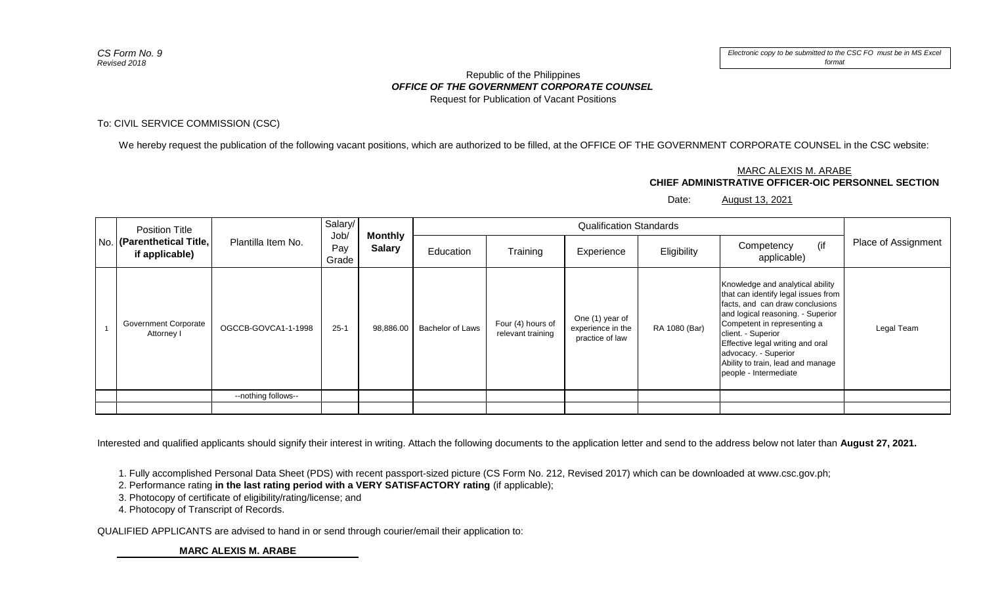## *OFFICE OF THE GOVERNMENT CORPORATE COUNSEL* Republic of the Philippines Request for Publication of Vacant Positions

## To: CIVIL SERVICE COMMISSION (CSC)

We hereby request the publication of the following vacant positions, which are authorized to be filled, at the OFFICE OF THE GOVERNMENT CORPORATE COUNSEL in the CSC website:

## **CHIEF ADMINISTRATIVE OFFICER-OIC PERSONNEL SECTION** MARC ALEXIS M. ARABE

Date: August 13, 2021

| <b>Position Title</b><br>No. (Parenthetical Title,<br>if applicable) | Plantilla Item No.  | Salary/<br>Job<br>Pay<br>Grade | <b>Monthly</b><br><b>Salary</b> | <b>Qualification Standards</b> |                                        |                                                         |               |                                                                                                                                                                                                                                                                                                                                |                     |
|----------------------------------------------------------------------|---------------------|--------------------------------|---------------------------------|--------------------------------|----------------------------------------|---------------------------------------------------------|---------------|--------------------------------------------------------------------------------------------------------------------------------------------------------------------------------------------------------------------------------------------------------------------------------------------------------------------------------|---------------------|
|                                                                      |                     |                                |                                 | Education                      | Training                               | Experience                                              | Eligibility   | (if<br>Competency<br>applicable)                                                                                                                                                                                                                                                                                               | Place of Assignment |
| <b>Government Corporate</b><br>Attorney I                            | OGCCB-GOVCA1-1-1998 | $25 - 1$                       | 98,886.00                       | Bachelor of Laws               | Four (4) hours of<br>relevant training | One (1) year of<br>experience in the<br>practice of law | RA 1080 (Bar) | Knowledge and analytical ability<br>that can identify legal issues from<br>facts, and can draw conclusions<br>and logical reasoning. - Superior<br>Competent in representing a<br>client. - Superior<br>Effective legal writing and oral<br>advocacy. - Superior<br>Ability to train, lead and manage<br>people - Intermediate | Legal Team          |
|                                                                      | --nothing follows-- |                                |                                 |                                |                                        |                                                         |               |                                                                                                                                                                                                                                                                                                                                |                     |
|                                                                      |                     |                                |                                 |                                |                                        |                                                         |               |                                                                                                                                                                                                                                                                                                                                |                     |

Interested and qualified applicants should signify their interest in writing. Attach the following documents to the application letter and send to the address below not later than **August 27, 2021.**

1. Fully accomplished Personal Data Sheet (PDS) with recent passport-sized picture (CS Form No. 212, Revised 2017) which can be downloaded at www.csc.gov.ph;

2. Performance rating **in the last rating period with a VERY SATISFACTORY rating** (if applicable);

3. Photocopy of certificate of eligibility/rating/license; and

4. Photocopy of Transcript of Records.

QUALIFIED APPLICANTS are advised to hand in or send through courier/email their application to:

**MARC ALEXIS M. ARABE**